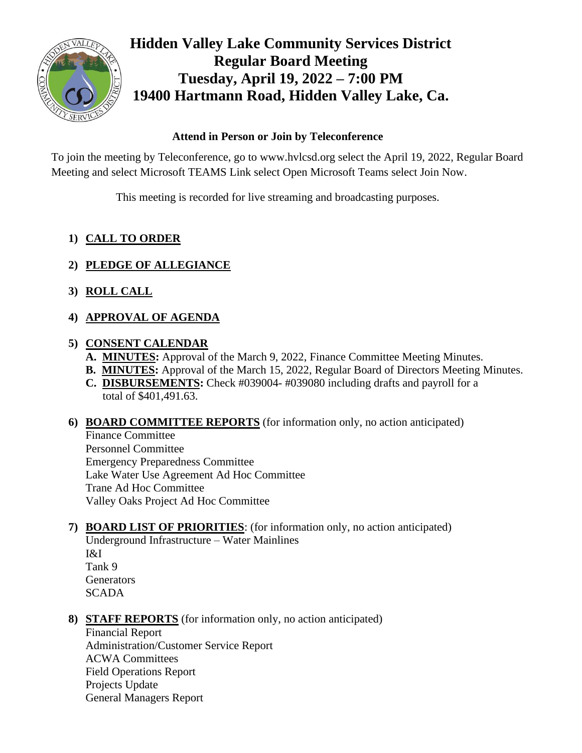

# **Hidden Valley Lake Community Services District Regular Board Meeting Tuesday, April 19, 2022 – 7:00 PM 19400 Hartmann Road, Hidden Valley Lake, Ca.**

## **Attend in Person or Join by Teleconference**

To join the meeting by Teleconference, go to www.hvlcsd.org select the April 19, 2022, Regular Board Meeting and select Microsoft TEAMS Link select Open Microsoft Teams select Join Now.

This meeting is recorded for live streaming and broadcasting purposes.

# **1) CALL TO ORDER**

- **2) PLEDGE OF ALLEGIANCE**
- **3) ROLL CALL**
- **4) APPROVAL OF AGENDA**

## **5) CONSENT CALENDAR**

- **A. MINUTES:** Approval of the March 9, 2022, Finance Committee Meeting Minutes.
- **B. MINUTES:** Approval of the March 15, 2022, Regular Board of Directors Meeting Minutes.
- **C. DISBURSEMENTS:** Check #039004- #039080 including drafts and payroll for a total of \$401,491.63.

#### **6) BOARD COMMITTEE REPORTS** (for information only, no action anticipated)

Finance Committee Personnel Committee Emergency Preparedness Committee Lake Water Use Agreement Ad Hoc Committee Trane Ad Hoc Committee Valley Oaks Project Ad Hoc Committee

**7) BOARD LIST OF PRIORITIES**: (for information only, no action anticipated) Underground Infrastructure – Water Mainlines I&I Tank 9

**Generators SCADA** 

**8) STAFF REPORTS** (for information only, no action anticipated)

Financial Report Administration/Customer Service Report ACWA Committees Field Operations Report Projects Update General Managers Report